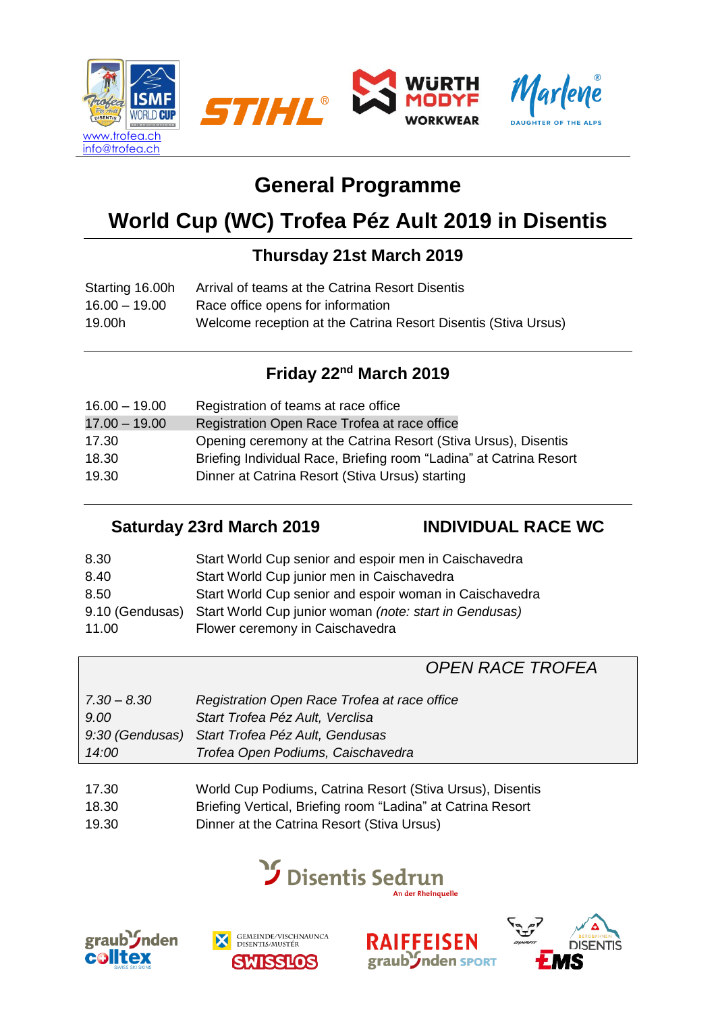

# **General Programme**

# **World Cup (WC) Trofea Péz Ault 2019 in Disentis**

## **Thursday 21st March 2019**

| Starting 16.00h | Arrival of teams at the Catrina Resort Disentis                |
|-----------------|----------------------------------------------------------------|
| $16.00 - 19.00$ | Race office opens for information                              |
| 19.00h          | Welcome reception at the Catrina Resort Disentis (Stiva Ursus) |

# **Friday 22nd March 2019**

| Registration of teams at race office                               |
|--------------------------------------------------------------------|
| Registration Open Race Trofea at race office                       |
| Opening ceremony at the Catrina Resort (Stiva Ursus), Disentis     |
| Briefing Individual Race, Briefing room "Ladina" at Catrina Resort |
| Dinner at Catrina Resort (Stiva Ursus) starting                    |
|                                                                    |

#### **Saturday 23rd March 2019 INDIVIDUAL RACE WC**

| 8.30  | Start World Cup senior and espoir men in Caischavedra                  |
|-------|------------------------------------------------------------------------|
| 8.40  | Start World Cup junior men in Caischavedra                             |
| 8.50  | Start World Cup senior and espoir woman in Caischavedra                |
|       | 9.10 (Gendusas) Start World Cup junior woman (note: start in Gendusas) |
| 11.00 | Flower ceremony in Caischavedra                                        |

## *OPEN RACE TROFEA*

| $7.30 - 8.30$<br>9.00 | Registration Open Race Trofea at race office<br>Start Trofea Péz Ault, Verclisa |
|-----------------------|---------------------------------------------------------------------------------|
|                       | 9:30 (Gendusas) Start Trofea Péz Ault, Gendusas                                 |
| 14:00                 | Trofea Open Podiums, Caischavedra                                               |
|                       |                                                                                 |

- 17.30 World Cup Podiums, Catrina Resort (Stiva Ursus), Disentis
- 18.30 Briefing Vertical, Briefing room "Ladina" at Catrina Resort
- 19.30 Dinner at the Catrina Resort (Stiva Ursus)